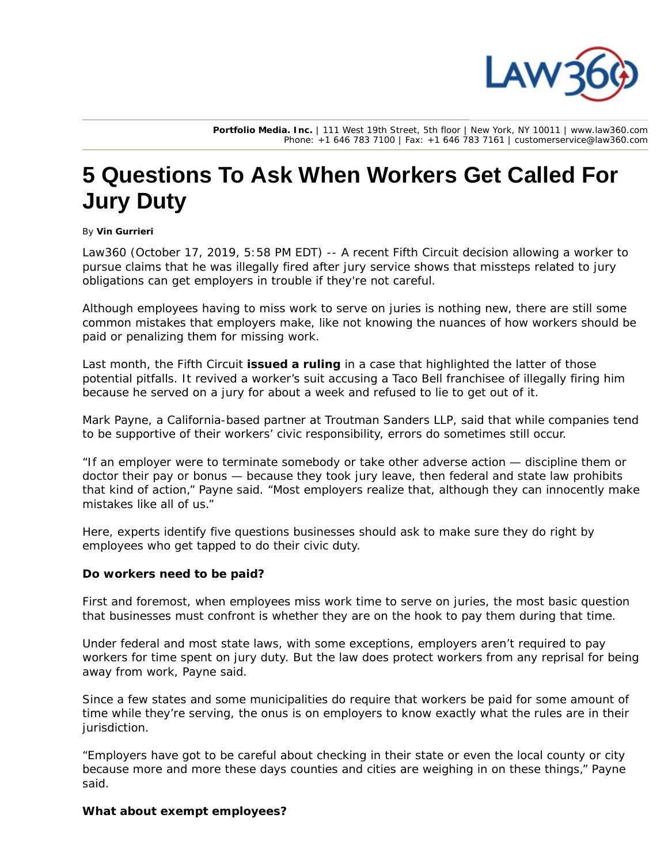

**Portfolio Media. Inc.** | 111 West 19th Street, 5th floor | New York, NY 10011 | www.law360.com Phone: +1 646 783 7100 | Fax: +1 646 783 7161 | customerservice@law360.com

# **5 Questions To Ask When Workers Get Called For Jury Duty**

#### By **Vin Gurrieri**

Law360 (October 17, 2019, 5:58 PM EDT) -- A recent Fifth Circuit decision allowing a worker to pursue claims that he was illegally fired after jury service shows that missteps related to jury obligations can get employers in trouble if they're not careful.

Although employees having to miss work to serve on juries is nothing new, there are still some common mistakes that employers make, like not knowing the nuances of how workers should be paid or penalizing them for missing work.

Last month, the Fifth Circuit **issued a ruling** in a case that highlighted the latter of those potential pitfalls. It revived a worker's suit accusing a Taco Bell franchisee of illegally firing him because he served on a jury for about a week and refused to lie to get out of it.

Mark Payne, a California-based partner at Troutman Sanders LLP, said that while companies tend to be supportive of their workers' civic responsibility, errors do sometimes still occur.

"If an employer were to terminate somebody or take other adverse action — discipline them or doctor their pay or bonus — because they took jury leave, then federal and state law prohibits that kind of action," Payne said. "Most employers realize that, although they can innocently make mistakes like all of us."

Here, experts identify five questions businesses should ask to make sure they do right by employees who get tapped to do their civic duty.

## **Do workers need to be paid?**

First and foremost, when employees miss work time to serve on juries, the most basic question that businesses must confront is whether they are on the hook to pay them during that time.

Under federal and most state laws, with some exceptions, employers aren't required to pay workers for time spent on jury duty. But the law does protect workers from any reprisal for being away from work, Payne said.

Since a few states and some municipalities do require that workers be paid for some amount of time while they're serving, the onus is on employers to know exactly what the rules are in their jurisdiction.

"Employers have got to be careful about checking in their state or even the local county or city because more and more these days counties and cities are weighing in on these things," Payne said.

#### **What about exempt employees?**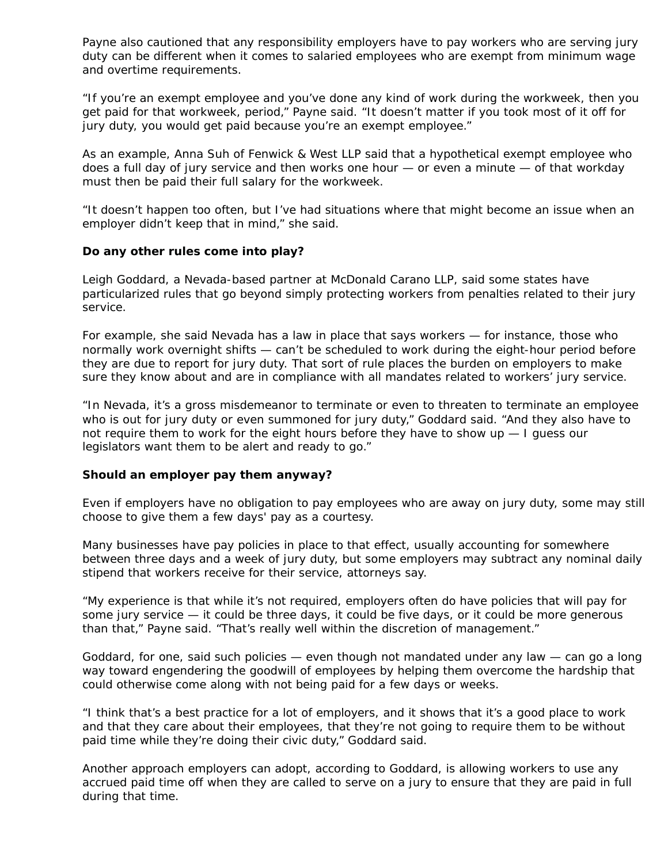Payne also cautioned that any responsibility employers have to pay workers who are serving jury duty can be different when it comes to salaried employees who are exempt from minimum wage and overtime requirements.

"If you're an exempt employee and you've done any kind of work during the workweek, then you get paid for that workweek, period," Payne said. "It doesn't matter if you took most of it off for jury duty, you would get paid because you're an exempt employee."

As an example, Anna Suh of Fenwick & West LLP said that a hypothetical exempt employee who does a full day of jury service and then works one hour — or even a minute — of that workday must then be paid their full salary for the workweek.

"It doesn't happen too often, but I've had situations where that might become an issue when an employer didn't keep that in mind," she said.

## **Do any other rules come into play?**

Leigh Goddard, a Nevada-based partner at McDonald Carano LLP, said some states have particularized rules that go beyond simply protecting workers from penalties related to their jury service.

For example, she said Nevada has a law in place that says workers — for instance, those who normally work overnight shifts — can't be scheduled to work during the eight-hour period before they are due to report for jury duty. That sort of rule places the burden on employers to make sure they know about and are in compliance with all mandates related to workers' jury service.

"In Nevada, it's a gross misdemeanor to terminate or even to threaten to terminate an employee who is out for jury duty or even summoned for jury duty," Goddard said. "And they also have to not require them to work for the eight hours before they have to show up — I guess our legislators want them to be alert and ready to go."

## **Should an employer pay them anyway?**

Even if employers have no obligation to pay employees who are away on jury duty, some may still choose to give them a few days' pay as a courtesy.

Many businesses have pay policies in place to that effect, usually accounting for somewhere between three days and a week of jury duty, but some employers may subtract any nominal daily stipend that workers receive for their service, attorneys say.

"My experience is that while it's not required, employers often do have policies that will pay for some jury service — it could be three days, it could be five days, or it could be more generous than that," Payne said. "That's really well within the discretion of management."

Goddard, for one, said such policies — even though not mandated under any law — can go a long way toward engendering the goodwill of employees by helping them overcome the hardship that could otherwise come along with not being paid for a few days or weeks.

"I think that's a best practice for a lot of employers, and it shows that it's a good place to work and that they care about their employees, that they're not going to require them to be without paid time while they're doing their civic duty," Goddard said.

Another approach employers can adopt, according to Goddard, is allowing workers to use any accrued paid time off when they are called to serve on a jury to ensure that they are paid in full during that time.